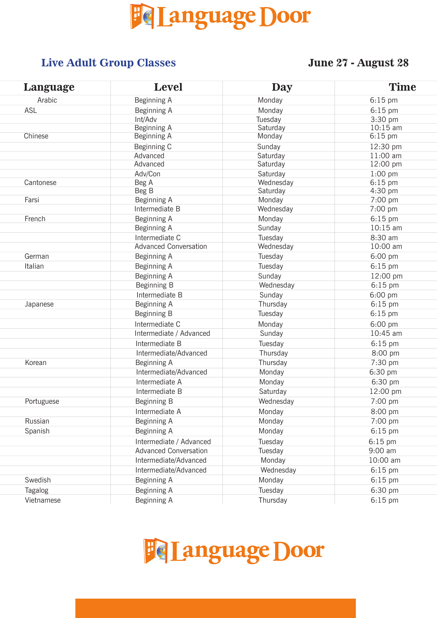

#### **Live Adult Group Classes June 27 - August 28**

| Language   | <b>Level</b>                 | <b>Day</b> | <b>Time</b> |
|------------|------------------------------|------------|-------------|
| Arabic     | Beginning A                  | Monday     | $6:15$ pm   |
| <b>ASL</b> | Beginning A                  | Monday     | $6:15$ pm   |
|            | Int/Adv                      | Tuesday    | 3:30 pm     |
|            | Beginning A                  | Saturday   | $10:15$ am  |
| Chinese    | Beginning A                  | Monday     | $6:15$ pm   |
|            | Beginning C                  | Sunday     | 12:30 pm    |
|            | Advanced                     | Saturday   | 11:00 am    |
|            | Advanced                     | Saturday   | 12:00 pm    |
|            | Adv/Con                      | Saturday   | $1:00$ pm   |
| Cantonese  | Beg A                        | Wednesday  | $6:15$ pm   |
|            | Beg B                        | Saturday   | 4:30 pm     |
| Farsi      | Beginning A                  | Monday     | 7:00 pm     |
|            | Intermediate B               | Wednesday  | 7:00 pm     |
| French     | Beginning A                  | Monday     | $6:15$ pm   |
|            | Beginning A                  | Sunday     | $10:15$ am  |
|            | Intermediate C               | Tuesday    | 8:30 am     |
|            | <b>Advanced Conversation</b> | Wednesday  | 10:00 am    |
| German     | Beginning A                  | Tuesday    | 6:00 pm     |
| Italian    | Beginning A                  | Tuesday    | 6:15 pm     |
|            | Beginning A                  | Sunday     | 12:00 pm    |
|            | Beginning B                  | Wednesday  | $6:15$ pm   |
|            | Intermediate B               | Sunday     | 6:00 pm     |
| Japanese   | Beginning A                  | Thursday   | $6:15$ pm   |
|            | Beginning B                  | Tuesday    | $6:15$ pm   |
|            | Intermediate C               | Monday     | 6:00 pm     |
|            | Intermediate / Advanced      | Sunday     | 10:45 am    |
|            | Intermediate B               | Tuesday    | $6:15$ pm   |
|            | Intermediate/Advanced        | Thursday   | 8:00 pm     |
| Korean     | Beginning A                  | Thursday   | 7:30 pm     |
|            | Intermediate/Advanced        | Monday     | 6:30 pm     |
|            | Intermediate A               | Monday     | 6:30 pm     |
|            | Intermediate B               | Saturday   | 12:00 pm    |
| Portuguese | Beginning B                  | Wednesday  | 7:00 pm     |
|            | Intermediate A               | Monday     | 8:00 pm     |
| Russian    | Beginning A                  | Monday     | 7:00 pm     |
| Spanish    | Beginning A                  | Monday     | 6:15 pm     |
|            |                              |            |             |
|            | Intermediate / Advanced      | Tuesday    | $6:15$ pm   |
|            | <b>Advanced Conversation</b> | Tuesday    | 9:00 am     |
|            | Intermediate/Advanced        | Monday     | 10:00 am    |
|            | Intermediate/Advanced        | Wednesday  | $6:15$ pm   |
| Swedish    | Beginning A                  | Monday     | $6:15$ pm   |
| Tagalog    | Beginning A                  | Tuesday    | 6:30 pm     |
| Vietnamese | Beginning A                  | Thursday   | $6:15$ pm   |

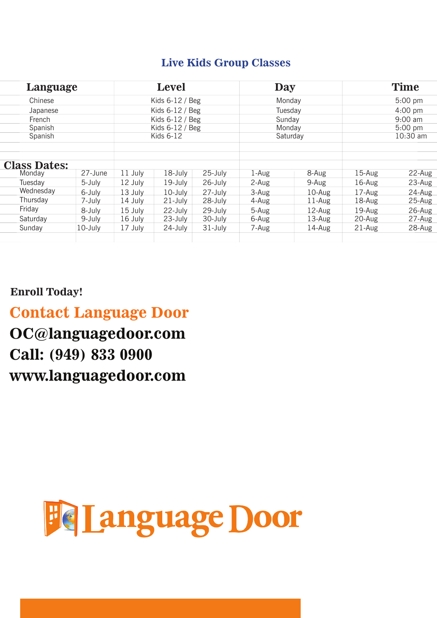#### **Live Kids Group Classes**

|                               | Level<br>Language |                   | Day               |             | <b>Time</b> |           |                   |           |
|-------------------------------|-------------------|-------------------|-------------------|-------------|-------------|-----------|-------------------|-----------|
| Chinese                       |                   | Kids $6-12$ / Beg |                   | Monday      |             | $5:00$ pm |                   |           |
| Japanese                      |                   | Kids $6-12$ / Beg |                   | Tuesdav     |             | $4:00$ pm |                   |           |
| French                        |                   |                   | Kids $6-12$ / Beg |             | Sunday      |           | $9:00 \text{ am}$ |           |
| Spanish                       |                   |                   | Kids 6-12 / Beg   |             | Monday      |           | $5:00$ pm         |           |
| Spanish                       |                   |                   | Kids $6-12$       |             | Saturday    |           | 10:30 am          |           |
| <b>Class Dates:</b><br>Monday | 27-June           | 11 July           | 18-July           | 25-July     | 1-Aug       | 8-Aug     | $15-Aug$          | $22$ -Aug |
| Tuesdav                       | 5-July            | 12 July           | 19-July           | 26-July     | 2-Aug       | 9-Aug     | $16$ -Aug         | $23$ -Aug |
| Wednesday                     | 6-July            | 13 July           | $10$ -July        | 27-July     | 3-Aug       | $10-Aug$  | 17-Aug            | 24-Aug    |
| Thursday                      | 7-July            | 14 July           | $21 - July$       | 28-July     | 4-Aug       | 11-Aug    | 18-Aug            | 25-Aug    |
| Friday                        | 8-July            | 15 July           | 22-July           | 29-July     | 5-Aug       | 12-Aug    | $19$ -Aug         | 26-Aug    |
| Saturday                      | 9-July            | 16 July           | 23-July           | 30-July     | 6-Aug       | 13-Aug    | 20-Aug            | 27-Aug    |
| Sunday                        | 10-July           | 17 July           | 24-July           | $31 - July$ | 7-Aug       | 14-Aug    | $21-Aug$          | 28-Aug    |
|                               |                   |                   |                   |             |             |           |                   |           |

#### **Enroll Today!**

## **Contact Language Door**

#### ţ **OC@languagedoor.com** ſ **Call: (949) 833 0900www.languagedoor.com**

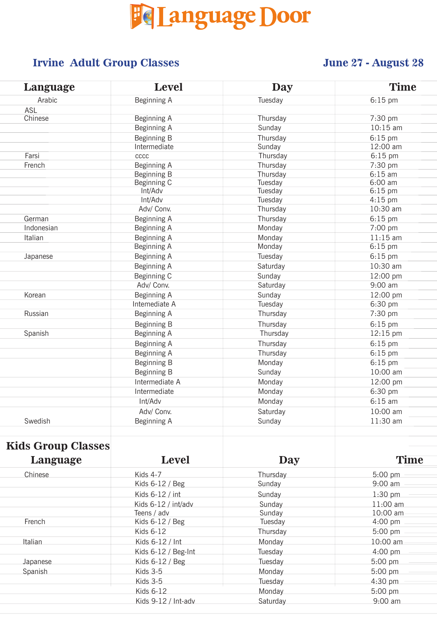

## **Irvine Adult Group Classes June 27 - August 28**

| Language   | <b>Level</b>     | <b>Day</b> | <b>Time</b> |  |
|------------|------------------|------------|-------------|--|
| Arabic     | Beginning A      | Tuesday    | $6:15$ pm   |  |
| <b>ASL</b> |                  |            |             |  |
| Chinese    | Beginning A      | Thursday   | 7:30 pm     |  |
|            | Beginning A      | Sunday     | $10:15$ am  |  |
|            | Beginning B      | Thursday   | $6:15$ pm   |  |
|            | Intermediate     | Sunday     | 12:00 am    |  |
| Farsi      | c <sub>ccc</sub> | Thursday   | $6:15$ pm   |  |
| French     | Beginning A      | Thursday   | 7:30 pm     |  |
|            | Beginning B      | Thursday   | $6:15$ am   |  |
|            | Beginning C      | Tuesday    | 6:00 am     |  |
|            | Int/Adv          | Tuesday    | $6:15$ pm   |  |
|            | Int/Adv          | Tuesday    | $4:15$ pm   |  |
|            | Adv/ Conv.       | Thursday   | 10:30 am    |  |
| German     | Beginning A      | Thursday   | $6:15$ pm   |  |
| Indonesian | Beginning A      | Monday     | 7:00 pm     |  |
| Italian    | Beginning A      | Monday     | $11:15$ am  |  |
|            | Beginning A      | Monday     | $6:15$ pm   |  |
| Japanese   | Beginning A      | Tuesday    | $6:15$ pm   |  |
|            | Beginning A      | Saturday   | 10:30 am    |  |
|            | Beginning C      | Sunday     | 12:00 pm    |  |
|            | Adv/ Conv.       | Saturday   | 9:00 am     |  |
| Korean     | Beginning A      | Sunday     | 12:00 pm    |  |
|            | Intemediate A    | Tuesday    | $6:30$ pm   |  |
| Russian    | Beginning A      | Thursday   | 7:30 pm     |  |
|            | Beginning B      | Thursday   | $6:15$ pm   |  |
| Spanish    | Beginning A      | Thursday   | 12:15 pm    |  |
|            | Beginning A      | Thursday   | $6:15$ pm   |  |
|            | Beginning A      | Thursday   | 6:15 pm     |  |
|            | Beginning B      | Monday     | $6:15$ pm   |  |
|            | Beginning B      | Sunday     | 10:00 am    |  |
|            | Intermediate A   | Monday     | 12:00 pm    |  |
|            | Intermediate     | Monday     | 6:30 pm     |  |
|            | Int/Adv          | Monday     | $6:15$ am   |  |
|            | Adv/ Conv.       | Saturday   | 10:00 am    |  |
| Swedish    | Beginning A      | Sunday     | 11:30 am    |  |
|            |                  |            |             |  |
|            |                  |            |             |  |

### **Kids Group Classes**

| Language | <b>Level</b>          | Day      | <b>Time</b>       |
|----------|-----------------------|----------|-------------------|
| Chinese  | Kids 4-7              | Thursday | $5:00$ pm         |
|          | Kids $6-12$ / Beg     | Sunday   | $9:00 \text{ am}$ |
|          | Kids 6-12 / int       | Sunday   | $1:30$ pm         |
|          | Kids 6-12 / int/adv   | Sunday   | $11:00$ am        |
|          | Teens / adv           | Sunday   | 10:00 am          |
| French   | Kids 6-12 / Beg       | Tuesday  | $4:00 \text{ pm}$ |
|          | Kids 6-12             | Thursday | $5:00$ pm         |
| Italian  | Kids 6-12 / Int       | Monday   | 10:00 am          |
|          | Kids $6-12$ / Beg-Int | Tuesday  | $4:00$ pm         |
| Japanese | Kids $6-12$ / Beg     | Tuesday  | $5:00$ pm         |
| Spanish  | Kids $3-5$            | Monday   | $5:00$ pm         |
|          | Kids $3-5$            | Tuesday  | $4:30$ pm         |
|          | Kids 6-12             | Monday   | $5:00$ pm         |
|          | Kids $9-12$ / Int-adv | Saturday | $9:00 \text{ am}$ |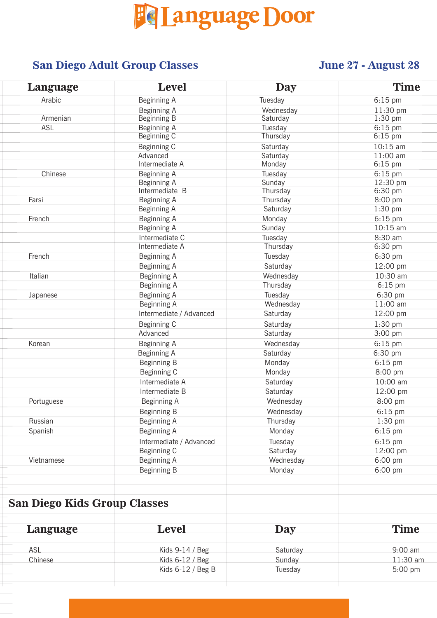# Fe Language Door

#### **IVE SAN Diego Adult Group Classes June 27 - August 28**

| Language   | <b>Level</b>            | <b>Day</b> | <b>Time</b> |  |
|------------|-------------------------|------------|-------------|--|
| Arabic     | Beginning A             | Tuesday    | $6:15$ pm   |  |
|            | Beginning A             | Wednesday  | 11:30 pm    |  |
| Armenian   | Beginning B             | Saturday   | 1:30 pm     |  |
| ASL        | Beginning A             | Tuesday    | $6:15$ pm   |  |
|            | Beginning C             | Thursday   | $6:15$ pm   |  |
|            | Beginning C             | Saturday   | 10:15 am    |  |
|            | Advanced                | Saturday   | 11:00 am    |  |
|            | Intermediate A          | Monday     | $6:15$ pm   |  |
| Chinese    | Beginning A             | Tuesday    | $6:15$ pm   |  |
|            | Beginning A             | Sunday     | 12:30 pm    |  |
|            | Intermediate B          | Thursday   | 6:30 pm     |  |
| Farsi      | Beginning A             | Thursday   | 8:00 pm     |  |
|            | Beginning A             | Saturday   | 1:30 pm     |  |
| French     | Beginning A             | Monday     | 6:15 pm     |  |
|            | Beginning A             | Sunday     | $10:15$ am  |  |
|            | Intermediate C          | Tuesday    | 8:30 am     |  |
|            | Intermediate A          | Thursday   | 6:30 pm     |  |
| French     | Beginning A             | Tuesday    | 6:30 pm     |  |
|            | Beginning A             | Saturday   | 12:00 pm    |  |
| Italian    | Beginning A             | Wednesday  | 10:30 am    |  |
|            | Beginning A             | Thursday   | $6:15$ pm   |  |
| Japanese   | Beginning A             | Tuesday    | 6:30 pm     |  |
|            | Beginning A             | Wednesday  | 11:00 am    |  |
|            | Intermediate / Advanced | Saturday   | 12:00 pm    |  |
|            | Beginning C             | Saturday   | $1:30$ pm   |  |
|            | Advanced                | Saturday   | 3:00 pm     |  |
| Korean     | Beginning A             | Wednesday  | $6:15$ pm   |  |
|            | Beginning A             | Saturday   | 6:30 pm     |  |
|            | Beginning B             | Monday     | $6:15$ pm   |  |
|            | Beginning C             | Monday     | 8:00 pm     |  |
|            | Intermediate A          | Saturday   | 10:00 am    |  |
|            | Intermediate B          | Saturday   | 12:00 pm    |  |
| Portuguese | Beginning A             | Wednesday  | 8:00 pm     |  |
|            | Beginning B             | Wednesday  | $6:15$ pm   |  |
| Russian    | Beginning A             | Thursday   | $1:30$ pm   |  |
| Spanish    | Beginning A             | Monday     | $6:15$ pm   |  |
|            | Intermediate / Advanced | Tuesday    | $6:15$ pm   |  |
|            | Beginning C             | Saturday   | 12:00 pm    |  |
| Vietnamese | Beginning A             | Wednesday  | 6:00 pm     |  |
|            | Beginning B             | Monday     | 6:00 pm     |  |
|            |                         |            |             |  |
|            |                         |            |             |  |

#### **San Diego Kids Group Classes**

| Language | Level               | <b>Day</b> | <b>Time</b> |
|----------|---------------------|------------|-------------|
| ASL      | Kids $9-14$ / Beg   | Saturday   | $9:00$ am   |
| Chinese  | Kids $6-12$ / Beg   | Sunday     | $11:30$ am  |
|          | Kids $6-12$ / Beg B | Tuesday    | $5:00$ pm   |